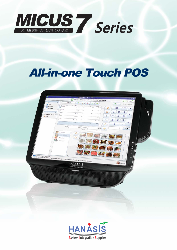

## **All-in-one Touch POS**